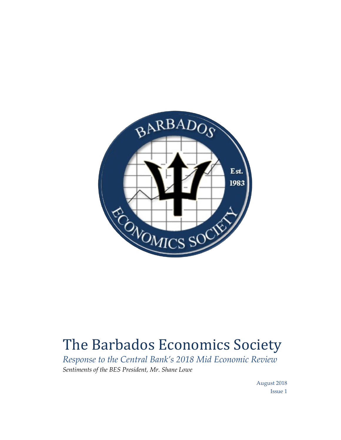

## The Barbados Economics Society

*Response to the Central Bank's 2018 Mid Economic Review Sentiments of the BES President, Mr. Shane Lowe*

> August 2018 Issue 1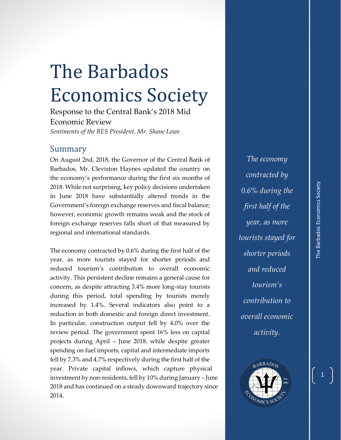## The Barbados Economics Society

Response to the Central Bank's 2018 Mid Economic Review *Sentiments of the BES President, Mr. Shane Lowe*

## Summary

On August 2nd, 2018, the Governor of the Central Bank of Barbados, Mr. Cleviston Haynes updated the country on the economy's performance during the first six months of 2018. While not surprising, key policy decisions undertaken in June 2018 have substantially altered trends in the Government's foreign exchange reserves and fiscal balance; however, economic growth remains weak and the stock of foreign exchange reserves falls short of that measured by regional and international standards.

The economy contracted by 0.6% during the first half of the year, as more tourists stayed for shorter periods and reduced tourism's contribution to overall economic activity. This persistent decline remains a general cause for concern, as despite attracting 3.4% more long-stay tourists during this period, total spending by tourists merely increased by 1.4%. Several indicators also point to a reduction in both domestic and foreign direct investment. In particular, construction output fell by 4.0% over the review period. The government spent 16% less on capital projects during April – June 2018, while despite greater spending on fuel imports, capital and intermediate imports fell by 7.3% and 4.7% respectively during the first half of the year. Private capital inflows, which capture physical investment by non-residents, fell by 10% during January – June 2018 and has continued on a steady downward trajectory since 2014.

*The economy contracted by 0.6% during the first half of the year, as more tourists stayed for shorter periods and reduced tourism's contribution to overall economic activity.*